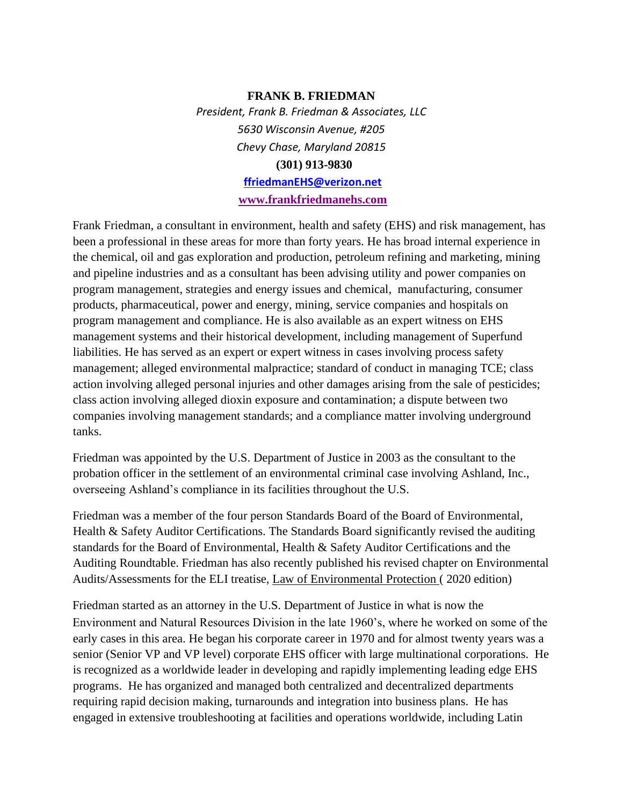#### **FRANK B. FRIEDMAN**

*President, Frank B. Friedman & Associates, LLC 5630 Wisconsin Avenue, #205 Chevy Chase, Maryland 20815*  **(301) 913-9830 ffriedmanEHS@verizon.net**

**[www.frankfriedmanehs.com](http://www.frankfriedmanehs.com/)**

Frank Friedman, a consultant in environment, health and safety (EHS) and risk management, has been a professional in these areas for more than forty years. He has broad internal experience in the chemical, oil and gas exploration and production, petroleum refining and marketing, mining and pipeline industries and as a consultant has been advising utility and power companies on program management, strategies and energy issues and chemical, manufacturing, consumer products, pharmaceutical, power and energy, mining, service companies and hospitals on program management and compliance. He is also available as an expert witness on EHS management systems and their historical development, including management of Superfund liabilities. He has served as an expert or expert witness in cases involving process safety management; alleged environmental malpractice; standard of conduct in managing TCE; class action involving alleged personal injuries and other damages arising from the sale of pesticides; class action involving alleged dioxin exposure and contamination; a dispute between two companies involving management standards; and a compliance matter involving underground tanks.

Friedman was appointed by the U.S. Department of Justice in 2003 as the consultant to the probation officer in the settlement of an environmental criminal case involving Ashland, Inc., overseeing Ashland's compliance in its facilities throughout the U.S.

Friedman was a member of the four person Standards Board of the Board of Environmental, Health & Safety Auditor Certifications. The Standards Board significantly revised the auditing standards for the Board of Environmental, Health & Safety Auditor Certifications and the Auditing Roundtable. Friedman has also recently published his revised chapter on Environmental Audits/Assessments for the ELI treatise, Law of Environmental Protection ( 2020 edition)

Friedman started as an attorney in the U.S. Department of Justice in what is now the Environment and Natural Resources Division in the late 1960's, where he worked on some of the early cases in this area. He began his corporate career in 1970 and for almost twenty years was a senior (Senior VP and VP level) corporate EHS officer with large multinational corporations. He is recognized as a worldwide leader in developing and rapidly implementing leading edge EHS programs. He has organized and managed both centralized and decentralized departments requiring rapid decision making, turnarounds and integration into business plans. He has engaged in extensive troubleshooting at facilities and operations worldwide, including Latin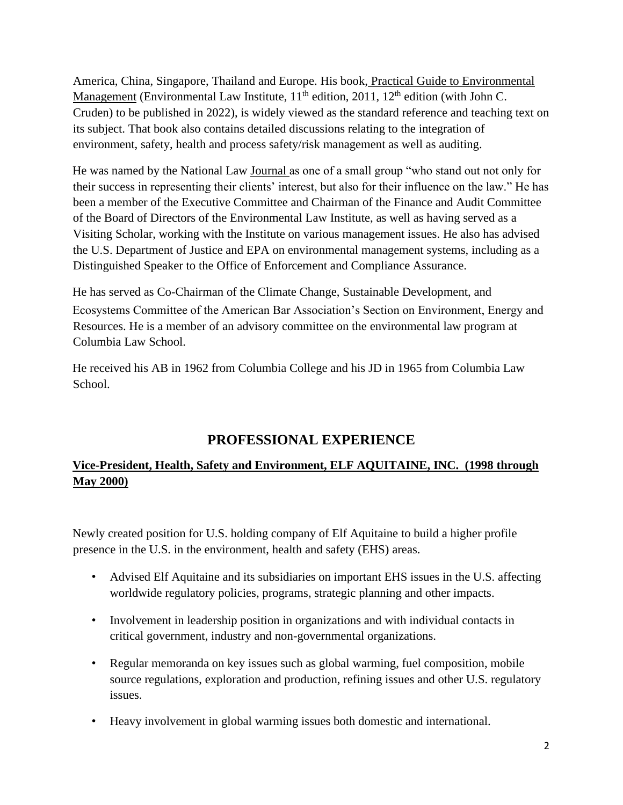America, China, Singapore, Thailand and Europe. His book, Practical Guide to Environmental Management (Environmental Law Institute,  $11<sup>th</sup>$  edition,  $2011$ ,  $12<sup>th</sup>$  edition (with John C. Cruden) to be published in 2022), is widely viewed as the standard reference and teaching text on its subject. That book also contains detailed discussions relating to the integration of environment, safety, health and process safety/risk management as well as auditing.

He was named by the National Law Journal as one of a small group "who stand out not only for their success in representing their clients' interest, but also for their influence on the law." He has been a member of the Executive Committee and Chairman of the Finance and Audit Committee of the Board of Directors of the Environmental Law Institute, as well as having served as a Visiting Scholar, working with the Institute on various management issues. He also has advised the U.S. Department of Justice and EPA on environmental management systems, including as a Distinguished Speaker to the Office of Enforcement and Compliance Assurance.

He has served as Co-Chairman of the Climate Change, Sustainable Development, and Ecosystems Committee of the American Bar Association's Section on Environment, Energy and Resources. He is a member of an advisory committee on the environmental law program at Columbia Law School.

He received his AB in 1962 from Columbia College and his JD in 1965 from Columbia Law School.

# **PROFESSIONAL EXPERIENCE**

## **Vice-President, Health, Safety and Environment, ELF AQUITAINE, INC. (1998 through May 2000)**

Newly created position for U.S. holding company of Elf Aquitaine to build a higher profile presence in the U.S. in the environment, health and safety (EHS) areas.

- Advised Elf Aquitaine and its subsidiaries on important EHS issues in the U.S. affecting worldwide regulatory policies, programs, strategic planning and other impacts.
- Involvement in leadership position in organizations and with individual contacts in critical government, industry and non-governmental organizations.
- Regular memoranda on key issues such as global warming, fuel composition, mobile source regulations, exploration and production, refining issues and other U.S. regulatory issues.
- Heavy involvement in global warming issues both domestic and international.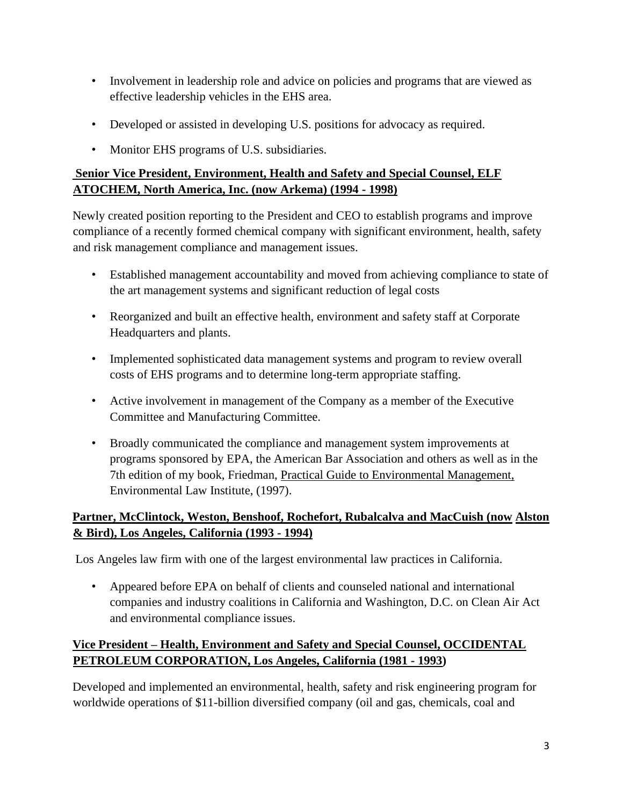- Involvement in leadership role and advice on policies and programs that are viewed as effective leadership vehicles in the EHS area.
- Developed or assisted in developing U.S. positions for advocacy as required.
- Monitor EHS programs of U.S. subsidiaries.

## **Senior Vice President, Environment, Health and Safety and Special Counsel, ELF ATOCHEM, North America, Inc. (now Arkema) (1994 - 1998)**

Newly created position reporting to the President and CEO to establish programs and improve compliance of a recently formed chemical company with significant environment, health, safety and risk management compliance and management issues.

- Established management accountability and moved from achieving compliance to state of the art management systems and significant reduction of legal costs
- Reorganized and built an effective health, environment and safety staff at Corporate Headquarters and plants.
- Implemented sophisticated data management systems and program to review overall costs of EHS programs and to determine long-term appropriate staffing.
- Active involvement in management of the Company as a member of the Executive Committee and Manufacturing Committee.
- Broadly communicated the compliance and management system improvements at programs sponsored by EPA, the American Bar Association and others as well as in the 7th edition of my book, Friedman, Practical Guide to Environmental Management, Environmental Law Institute, (1997).

## **Partner, McClintock, Weston, Benshoof, Rochefort, Rubalcalva and MacCuish (now Alston & Bird), Los Angeles, California (1993 - 1994)**

Los Angeles law firm with one of the largest environmental law practices in California.

• Appeared before EPA on behalf of clients and counseled national and international companies and industry coalitions in California and Washington, D.C. on Clean Air Act and environmental compliance issues.

## **Vice President – Health, Environment and Safety and Special Counsel, OCCIDENTAL PETROLEUM CORPORATION, Los Angeles, California (1981 - 1993)**

Developed and implemented an environmental, health, safety and risk engineering program for worldwide operations of \$11-billion diversified company (oil and gas, chemicals, coal and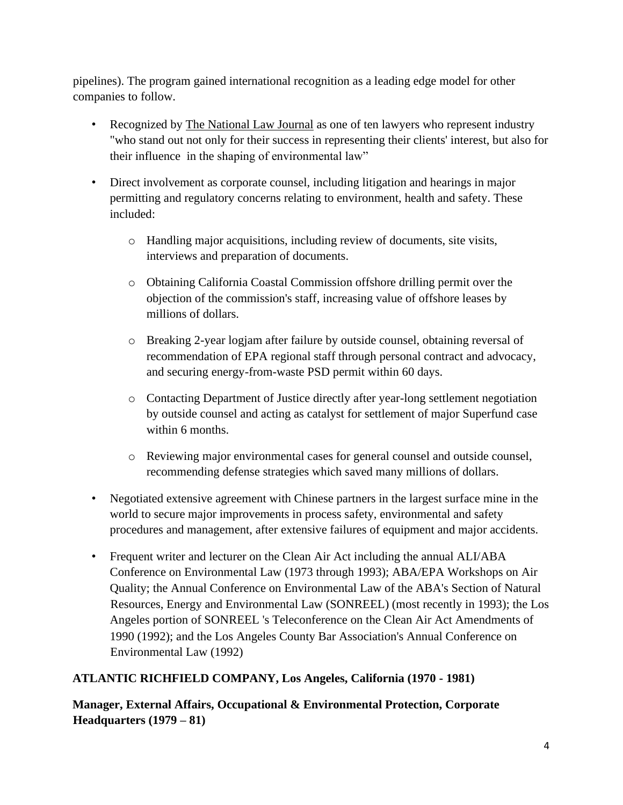pipelines). The program gained international recognition as a leading edge model for other companies to follow.

- Recognized by The National Law Journal as one of ten lawyers who represent industry "who stand out not only for their success in representing their clients' interest, but also for their influence in the shaping of environmental law"
- Direct involvement as corporate counsel, including litigation and hearings in major permitting and regulatory concerns relating to environment, health and safety. These included:
	- o Handling major acquisitions, including review of documents, site visits, interviews and preparation of documents.
	- o Obtaining California Coastal Commission offshore drilling permit over the objection of the commission's staff, increasing value of offshore leases by millions of dollars.
	- o Breaking 2-year logjam after failure by outside counsel, obtaining reversal of recommendation of EPA regional staff through personal contract and advocacy, and securing energy-from-waste PSD permit within 60 days.
	- o Contacting Department of Justice directly after year-long settlement negotiation by outside counsel and acting as catalyst for settlement of major Superfund case within 6 months.
	- o Reviewing major environmental cases for general counsel and outside counsel, recommending defense strategies which saved many millions of dollars.
- Negotiated extensive agreement with Chinese partners in the largest surface mine in the world to secure major improvements in process safety, environmental and safety procedures and management, after extensive failures of equipment and major accidents.
- Frequent writer and lecturer on the Clean Air Act including the annual ALI/ABA Conference on Environmental Law (1973 through 1993); ABA/EPA Workshops on Air Quality; the Annual Conference on Environmental Law of the ABA's Section of Natural Resources, Energy and Environmental Law (SONREEL) (most recently in 1993); the Los Angeles portion of SONREEL 's Teleconference on the Clean Air Act Amendments of 1990 (1992); and the Los Angeles County Bar Association's Annual Conference on Environmental Law (1992)

### **ATLANTIC RICHFIELD COMPANY, Los Angeles, California (1970 - 1981)**

**Manager, External Affairs, Occupational & Environmental Protection, Corporate Headquarters (1979 – 81)**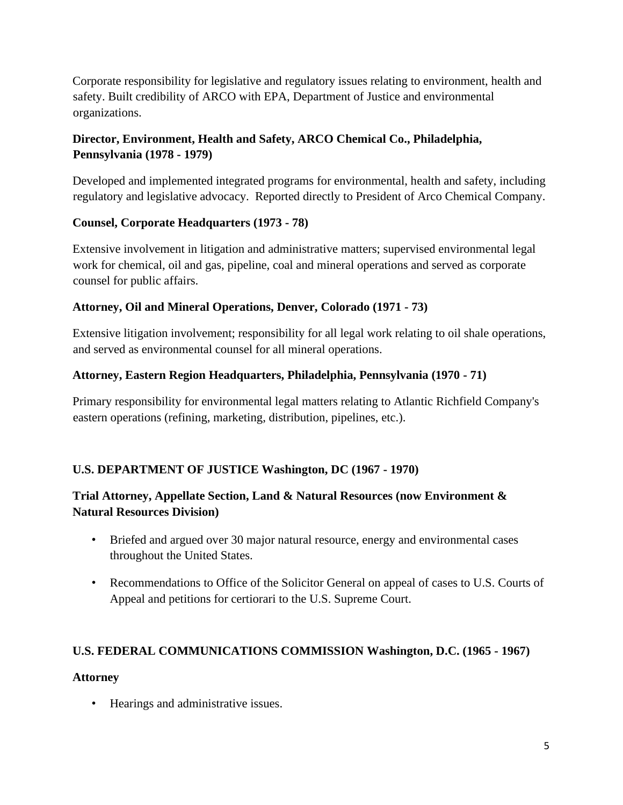Corporate responsibility for legislative and regulatory issues relating to environment, health and safety. Built credibility of ARCO with EPA, Department of Justice and environmental organizations.

### **Director, Environment, Health and Safety, ARCO Chemical Co., Philadelphia, Pennsylvania (1978 - 1979)**

Developed and implemented integrated programs for environmental, health and safety, including regulatory and legislative advocacy. Reported directly to President of Arco Chemical Company.

#### **Counsel, Corporate Headquarters (1973 - 78)**

Extensive involvement in litigation and administrative matters; supervised environmental legal work for chemical, oil and gas, pipeline, coal and mineral operations and served as corporate counsel for public affairs.

#### **Attorney, Oil and Mineral Operations, Denver, Colorado (1971 - 73)**

Extensive litigation involvement; responsibility for all legal work relating to oil shale operations, and served as environmental counsel for all mineral operations.

#### **Attorney, Eastern Region Headquarters, Philadelphia, Pennsylvania (1970 - 71)**

Primary responsibility for environmental legal matters relating to Atlantic Richfield Company's eastern operations (refining, marketing, distribution, pipelines, etc.).

### **U.S. DEPARTMENT OF JUSTICE Washington, DC (1967 - 1970)**

### **Trial Attorney, Appellate Section, Land & Natural Resources (now Environment & Natural Resources Division)**

- Briefed and argued over 30 major natural resource, energy and environmental cases throughout the United States.
- Recommendations to Office of the Solicitor General on appeal of cases to U.S. Courts of Appeal and petitions for certiorari to the U.S. Supreme Court.

#### **U.S. FEDERAL COMMUNICATIONS COMMISSION Washington, D.C. (1965 - 1967)**

#### **Attorney**

• Hearings and administrative issues.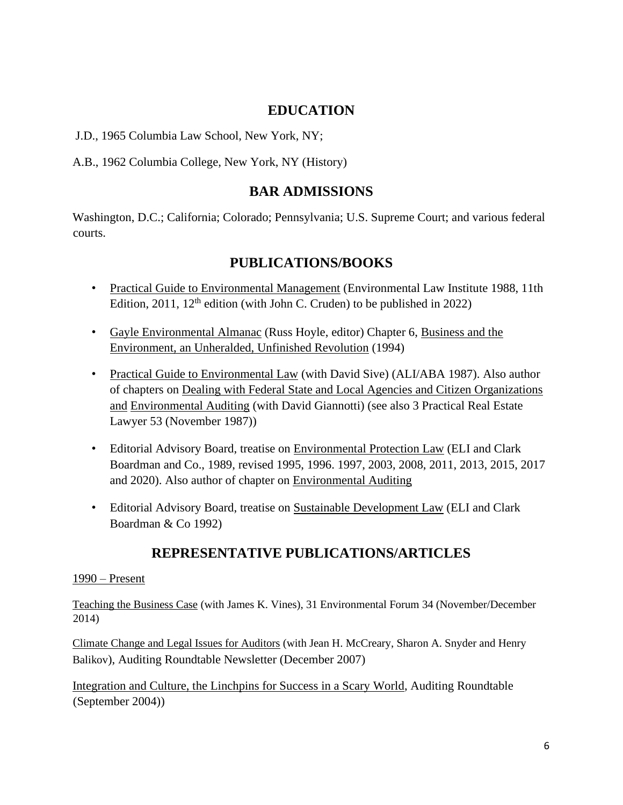## **EDUCATION**

J.D., 1965 Columbia Law School, New York, NY;

A.B., 1962 Columbia College, New York, NY (History)

## **BAR ADMISSIONS**

Washington, D.C.; California; Colorado; Pennsylvania; U.S. Supreme Court; and various federal courts.

## **PUBLICATIONS/BOOKS**

- Practical Guide to Environmental Management (Environmental Law Institute 1988, 11th Edition, 2011,  $12<sup>th</sup>$  edition (with John C. Cruden) to be published in 2022)
- Gayle Environmental Almanac (Russ Hoyle, editor) Chapter 6, Business and the Environment, an Unheralded, Unfinished Revolution (1994)
- Practical Guide to Environmental Law (with David Sive) (ALI/ABA 1987). Also author of chapters on Dealing with Federal State and Local Agencies and Citizen Organizations and Environmental Auditing (with David Giannotti) (see also 3 Practical Real Estate Lawyer 53 (November 1987))
- Editorial Advisory Board, treatise on Environmental Protection Law (ELI and Clark Boardman and Co., 1989, revised 1995, 1996. 1997, 2003, 2008, 2011, 2013, 2015, 2017 and 2020). Also author of chapter on Environmental Auditing
- Editorial Advisory Board, treatise on Sustainable Development Law (ELI and Clark Boardman & Co 1992)

# **REPRESENTATIVE PUBLICATIONS/ARTICLES**

#### 1990 – Present

Teaching the Business Case (with James K. Vines), 31 Environmental Forum 34 (November/December 2014)

Climate Change and Legal Issues for Auditors (with Jean H. McCreary, Sharon A. Snyder and Henry Balikov), Auditing Roundtable Newsletter (December 2007)

Integration and Culture, the Linchpins for Success in a Scary World, Auditing Roundtable (September 2004))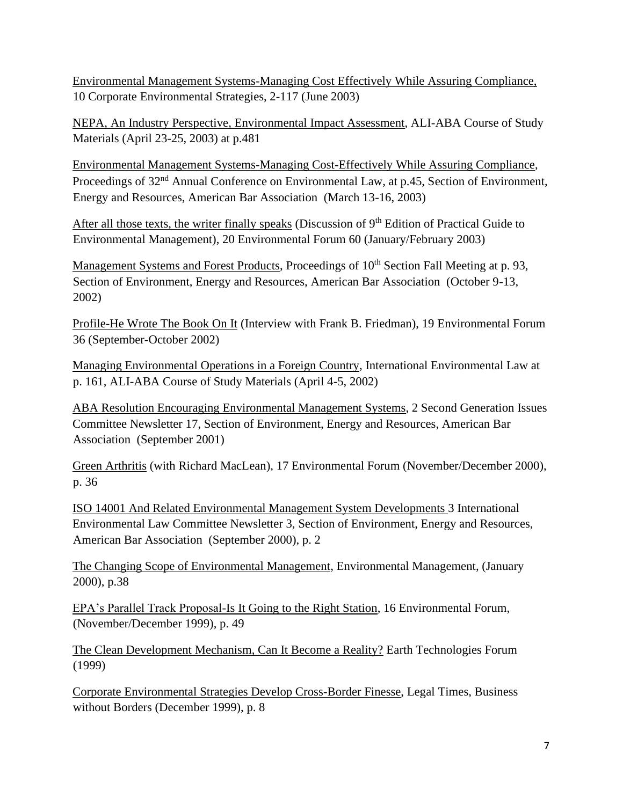Environmental Management Systems-Managing Cost Effectively While Assuring Compliance, 10 Corporate Environmental Strategies, 2-117 (June 2003)

NEPA, An Industry Perspective, Environmental Impact Assessment, ALI-ABA Course of Study Materials (April 23-25, 2003) at p.481

Environmental Management Systems-Managing Cost-Effectively While Assuring Compliance, Proceedings of 32<sup>nd</sup> Annual Conference on Environmental Law, at p.45, Section of Environment, Energy and Resources, American Bar Association (March 13-16, 2003)

After all those texts, the writer finally speaks (Discussion of  $9<sup>th</sup>$  Edition of Practical Guide to Environmental Management), 20 Environmental Forum 60 (January/February 2003)

Management Systems and Forest Products, Proceedings of 10<sup>th</sup> Section Fall Meeting at p. 93, Section of Environment, Energy and Resources, American Bar Association (October 9-13, 2002)

Profile-He Wrote The Book On It (Interview with Frank B. Friedman), 19 Environmental Forum 36 (September-October 2002)

Managing Environmental Operations in a Foreign Country, International Environmental Law at p. 161, ALI-ABA Course of Study Materials (April 4-5, 2002)

ABA Resolution Encouraging Environmental Management Systems, 2 Second Generation Issues Committee Newsletter 17, Section of Environment, Energy and Resources, American Bar Association (September 2001)

Green Arthritis (with Richard MacLean), 17 Environmental Forum (November/December 2000), p. 36

ISO 14001 And Related Environmental Management System Developments 3 International Environmental Law Committee Newsletter 3, Section of Environment, Energy and Resources, American Bar Association (September 2000), p. 2

The Changing Scope of Environmental Management, Environmental Management, (January 2000), p.38

EPA's Parallel Track Proposal-Is It Going to the Right Station, 16 Environmental Forum, (November/December 1999), p. 49

The Clean Development Mechanism, Can It Become a Reality? Earth Technologies Forum (1999)

Corporate Environmental Strategies Develop Cross-Border Finesse, Legal Times, Business without Borders (December 1999), p. 8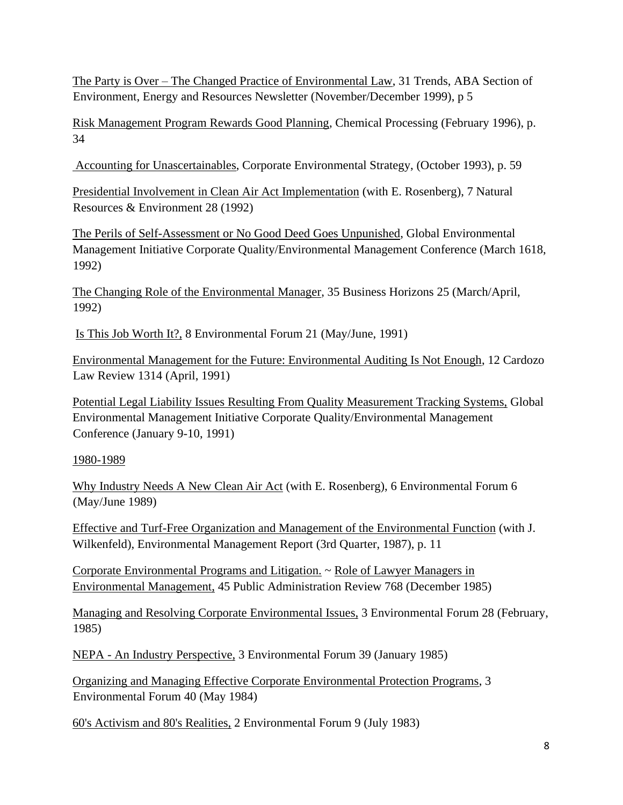The Party is Over – The Changed Practice of Environmental Law, 31 Trends, ABA Section of Environment, Energy and Resources Newsletter (November/December 1999), p 5

Risk Management Program Rewards Good Planning, Chemical Processing (February 1996), p. 34

Accounting for Unascertainables, Corporate Environmental Strategy, (October 1993), p. 59

Presidential Involvement in Clean Air Act Implementation (with E. Rosenberg), 7 Natural Resources & Environment 28 (1992)

The Perils of Self-Assessment or No Good Deed Goes Unpunished, Global Environmental Management Initiative Corporate Quality/Environmental Management Conference (March 1618, 1992)

The Changing Role of the Environmental Manager, 35 Business Horizons 25 (March/April, 1992)

Is This Job Worth It?, 8 Environmental Forum 21 (May/June, 1991)

Environmental Management for the Future: Environmental Auditing Is Not Enough, 12 Cardozo Law Review 1314 (April, 1991)

Potential Legal Liability Issues Resulting From Quality Measurement Tracking Systems, Global Environmental Management Initiative Corporate Quality/Environmental Management Conference (January 9-10, 1991)

#### 1980-1989

Why Industry Needs A New Clean Air Act (with E. Rosenberg), 6 Environmental Forum 6 (May/June 1989)

Effective and Turf-Free Organization and Management of the Environmental Function (with J. Wilkenfeld), Environmental Management Report (3rd Quarter, 1987), p. 11

Corporate Environmental Programs and Litigation. ~ Role of Lawyer Managers in Environmental Management, 45 Public Administration Review 768 (December 1985)

Managing and Resolving Corporate Environmental Issues, 3 Environmental Forum 28 (February, 1985)

NEPA - An Industry Perspective, 3 Environmental Forum 39 (January 1985)

Organizing and Managing Effective Corporate Environmental Protection Programs, 3 Environmental Forum 40 (May 1984)

60's Activism and 80's Realities, 2 Environmental Forum 9 (July 1983)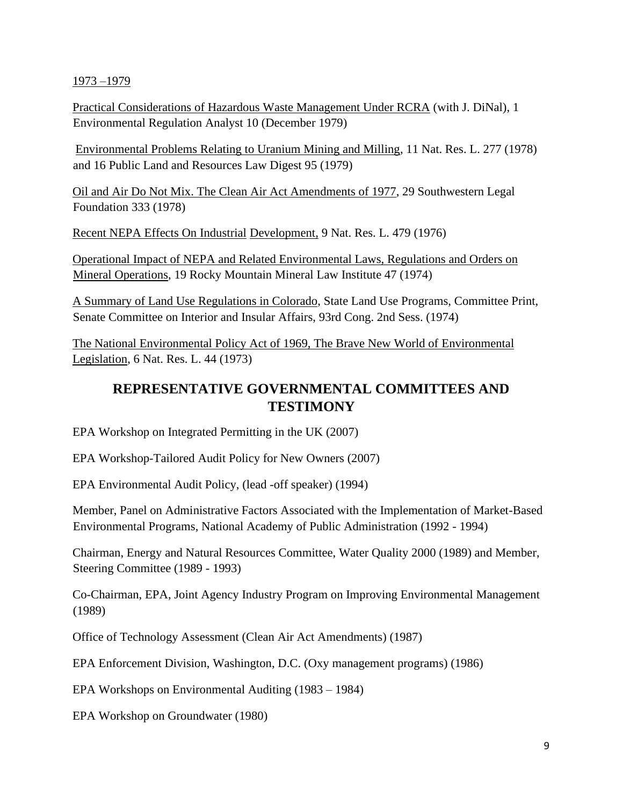#### 1973 –1979

Practical Considerations of Hazardous Waste Management Under RCRA (with J. DiNal), 1 Environmental Regulation Analyst 10 (December 1979)

Environmental Problems Relating to Uranium Mining and Milling, 11 Nat. Res. L. 277 (1978) and 16 Public Land and Resources Law Digest 95 (1979)

Oil and Air Do Not Mix. The Clean Air Act Amendments of 1977, 29 Southwestern Legal Foundation 333 (1978)

Recent NEPA Effects On Industrial Development, 9 Nat. Res. L. 479 (1976)

Operational Impact of NEPA and Related Environmental Laws, Regulations and Orders on Mineral Operations, 19 Rocky Mountain Mineral Law Institute 47 (1974)

A Summary of Land Use Regulations in Colorado, State Land Use Programs, Committee Print, Senate Committee on Interior and Insular Affairs, 93rd Cong. 2nd Sess. (1974)

The National Environmental Policy Act of 1969, The Brave New World of Environmental Legislation, 6 Nat. Res. L. 44 (1973)

# **REPRESENTATIVE GOVERNMENTAL COMMITTEES AND TESTIMONY**

EPA Workshop on Integrated Permitting in the UK (2007)

EPA Workshop-Tailored Audit Policy for New Owners (2007)

EPA Environmental Audit Policy, (lead -off speaker) (1994)

Member, Panel on Administrative Factors Associated with the Implementation of Market-Based Environmental Programs, National Academy of Public Administration (1992 - 1994)

Chairman, Energy and Natural Resources Committee, Water Quality 2000 (1989) and Member, Steering Committee (1989 - 1993)

Co-Chairman, EPA, Joint Agency Industry Program on Improving Environmental Management (1989)

Office of Technology Assessment (Clean Air Act Amendments) (1987)

EPA Enforcement Division, Washington, D.C. (Oxy management programs) (1986)

EPA Workshops on Environmental Auditing (1983 – 1984)

EPA Workshop on Groundwater (1980)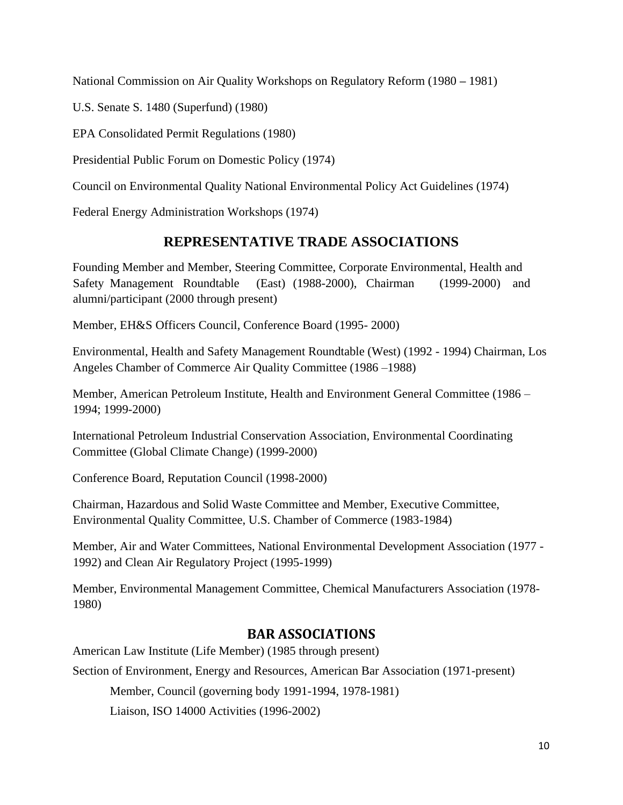National Commission on Air Quality Workshops on Regulatory Reform (1980 **–** 1981)

U.S. Senate S. 1480 (Superfund) (1980)

EPA Consolidated Permit Regulations (1980)

Presidential Public Forum on Domestic Policy (1974)

Council on Environmental Quality National Environmental Policy Act Guidelines (1974)

Federal Energy Administration Workshops (1974)

# **REPRESENTATIVE TRADE ASSOCIATIONS**

Founding Member and Member, Steering Committee, Corporate Environmental, Health and Safety Management Roundtable (East) (1988-2000), Chairman (1999-2000) and alumni/participant (2000 through present)

Member, EH&S Officers Council, Conference Board (1995- 2000)

Environmental, Health and Safety Management Roundtable (West) (1992 - 1994) Chairman, Los Angeles Chamber of Commerce Air Quality Committee (1986 –1988)

Member, American Petroleum Institute, Health and Environment General Committee (1986 – 1994; 1999-2000)

International Petroleum Industrial Conservation Association, Environmental Coordinating Committee (Global Climate Change) (1999-2000)

Conference Board, Reputation Council (1998-2000)

Chairman, Hazardous and Solid Waste Committee and Member, Executive Committee, Environmental Quality Committee, U.S. Chamber of Commerce (1983-1984)

Member, Air and Water Committees, National Environmental Development Association (1977 - 1992) and Clean Air Regulatory Project (1995-1999)

Member, Environmental Management Committee, Chemical Manufacturers Association (1978- 1980)

## **BAR ASSOCIATIONS**

Section of Environment, Energy and Resources, American Bar Association (1971-present)

Member, Council (governing body 1991-1994, 1978-1981)

Liaison, ISO 14000 Activities (1996-2002)

American Law Institute (Life Member) (1985 through present)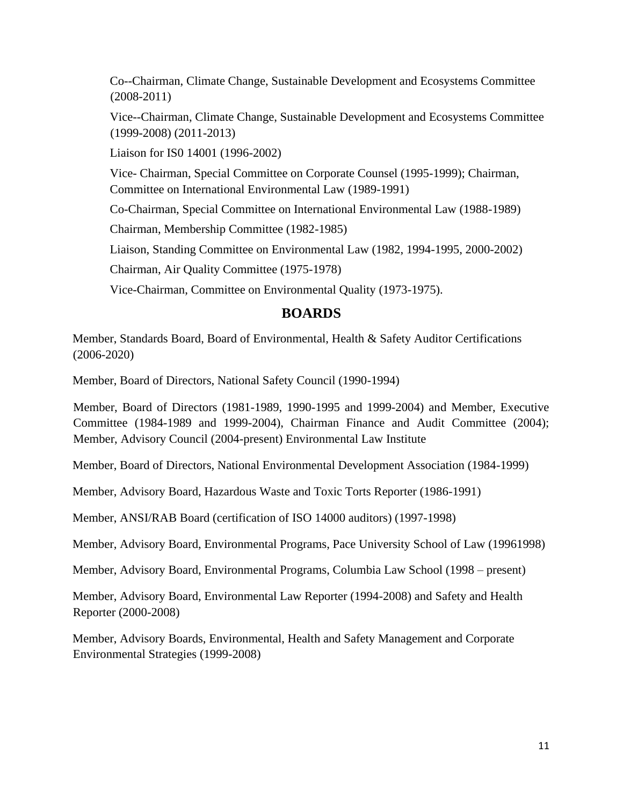Co--Chairman, Climate Change, Sustainable Development and Ecosystems Committee (2008-2011)

Vice--Chairman, Climate Change, Sustainable Development and Ecosystems Committee (1999-2008) (2011-2013)

Liaison for IS0 14001 (1996-2002)

Vice- Chairman, Special Committee on Corporate Counsel (1995-1999); Chairman, Committee on International Environmental Law (1989-1991)

Co-Chairman, Special Committee on International Environmental Law (1988-1989)

Chairman, Membership Committee (1982-1985)

Liaison, Standing Committee on Environmental Law (1982, 1994-1995, 2000-2002)

Chairman, Air Quality Committee (1975-1978)

Vice-Chairman, Committee on Environmental Quality (1973-1975).

### **BOARDS**

Member, Standards Board, Board of Environmental, Health & Safety Auditor Certifications (2006-2020)

Member, Board of Directors, National Safety Council (1990-1994)

Member, Board of Directors (1981-1989, 1990-1995 and 1999-2004) and Member, Executive Committee (1984-1989 and 1999-2004), Chairman Finance and Audit Committee (2004); Member, Advisory Council (2004-present) Environmental Law Institute

Member, Board of Directors, National Environmental Development Association (1984-1999)

Member, Advisory Board, Hazardous Waste and Toxic Torts Reporter (1986-1991)

Member, ANSI/RAB Board (certification of ISO 14000 auditors) (1997-1998)

Member, Advisory Board, Environmental Programs, Pace University School of Law (19961998)

Member, Advisory Board, Environmental Programs, Columbia Law School (1998 – present)

Member, Advisory Board, Environmental Law Reporter (1994-2008) and Safety and Health Reporter (2000-2008)

Member, Advisory Boards, Environmental, Health and Safety Management and Corporate Environmental Strategies (1999-2008)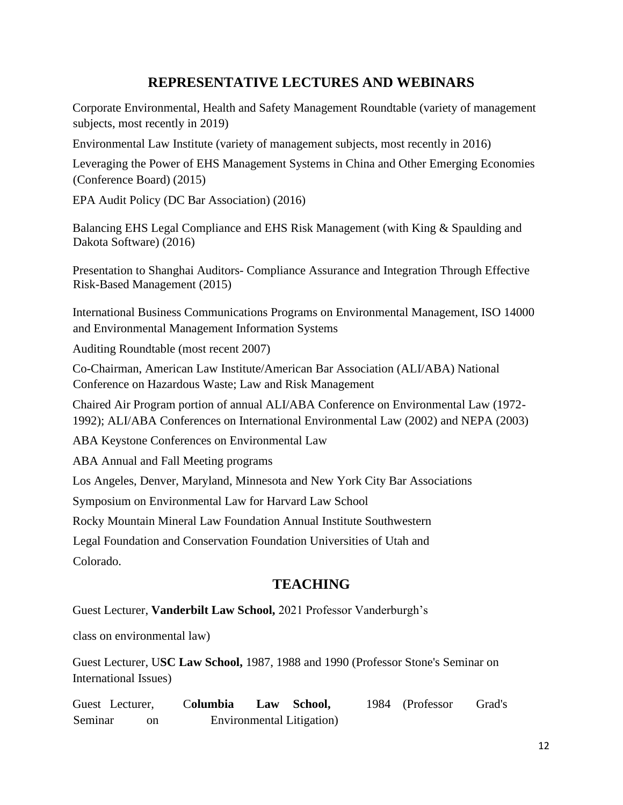# **REPRESENTATIVE LECTURES AND WEBINARS**

Corporate Environmental, Health and Safety Management Roundtable (variety of management subjects, most recently in 2019)

Environmental Law Institute (variety of management subjects, most recently in 2016)

Leveraging the Power of EHS Management Systems in China and Other Emerging Economies (Conference Board) (2015)

EPA Audit Policy (DC Bar Association) (2016)

Balancing EHS Legal Compliance and EHS Risk Management (with King & Spaulding and Dakota Software) (2016)

Presentation to Shanghai Auditors- Compliance Assurance and Integration Through Effective Risk-Based Management (2015)

International Business Communications Programs on Environmental Management, ISO 14000 and Environmental Management Information Systems

Auditing Roundtable (most recent 2007)

Co-Chairman, American Law Institute/American Bar Association (ALI/ABA) National Conference on Hazardous Waste; Law and Risk Management

Chaired Air Program portion of annual ALI/ABA Conference on Environmental Law (1972- 1992); ALI/ABA Conferences on International Environmental Law (2002) and NEPA (2003)

ABA Keystone Conferences on Environmental Law

ABA Annual and Fall Meeting programs

Los Angeles, Denver, Maryland, Minnesota and New York City Bar Associations

Symposium on Environmental Law for Harvard Law School

Rocky Mountain Mineral Law Foundation Annual Institute Southwestern

Legal Foundation and Conservation Foundation Universities of Utah and Colorado.

## **TEACHING**

Guest Lecturer, **Vanderbilt Law School,** 2021 Professor Vanderburgh's

class on environmental law)

Guest Lecturer, U**SC Law School,** 1987, 1988 and 1990 (Professor Stone's Seminar on International Issues)

Guest Lecturer, C**olumbia Law School,** 1984 (Professor Grad's Seminar on Environmental Litigation)